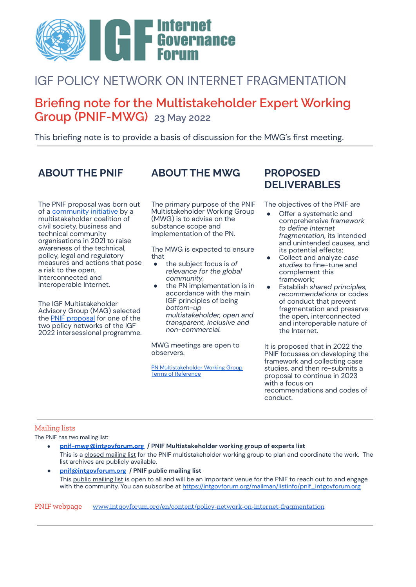

## IGF POLICY NETWORK ON INTERNET FRAGMENTATION

## **Briefing note for the Multistakeholder Expert Working Group (PNIF-MWG) 23 May 2022**

This briefing note is to provide a basis of discussion for the MWG's first meeting.

The PNIF proposal was born out of a [community](https://www.gp-digital.org/an-open-interconnected-and-interoperable-internet-joint-letter/) initiative by a multistakeholder coalition of civil society, business and technical community organisations in 2021 to raise awareness of the technical, policy, legal and regulatory measures and actions that pose a risk to the open, interconnected and interoperable Internet.

The IGF Multistakeholder Advisory Group (MAG) selected the PNIF [proposal](https://www.intgovforum.org/en/filedepot_download/251/20909) for one of the two policy networks of the IGF 2022 intersessional programme.

## **ABOUT THE PNIF ABOUT THE MWG PROPOSED**

The primary purpose of the PNIF Multistakeholder Working Group (MWG) is to advise on the substance scope and implementation of the PN.

The MWG is expected to ensure that

- the subject focus is *of relevance for the global community*,
- the PN implementation is in accordance with the main IGF principles of being *bottom-up multistakeholder, open and transparent, inclusive and non-commercial.*

MWG meetings are open to observers.

PN [Multistakeholder](https://www.intgovforum.org/en/filedepot_download/13/21344) Working Group Terms of [Reference](https://www.intgovforum.org/en/filedepot_download/13/21344)

# **DELIVERABLES**

The objectives of the PNIF are

- Offer a systematic and comprehensive *framework to define Internet fragmentation*, its intended and unintended causes, and its potential effects;
- Collect and analyze *case studies* to fine-tune and complement this framework;
- Establish *shared principles, recommendations* or codes of conduct that prevent fragmentation and preserve the open, interconnected and interoperable nature of the Internet.

It is proposed that in 2022 the PNIF focusses on developing the framework and collecting case studies, and then re-submits a proposal to continue in 2023 with a focus on recommendations and codes of conduct.

### Mailing lists

The PNIF has two mailing list:

- **[pnif-mwg@intgovforum.org](mailto:pnif-mwg@intgovforum.org) / PNIF Multistakeholder working group of experts list** This is a closed mailing list for the PNIF multistakeholder working group to plan and coordinate the work. The list archives are publicly available.
- **[pnif@intgovforum.org](mailto:pnif@intgovforum.org) / PNIF public mailing list** This public mailing list is open to all and will be an important venue for the PNIF to reach out to and engage with the community. You can subscribe at [https://intgovforum.org/mailman/listinfo/pnif\\_intgovforum.org](https://intgovforum.org/mailman/listinfo/pnif_intgovforum.org)

PNIF webpage [www.intgovforum.org/en/content/policy-network-on-internet-fragmentation](https://www.intgovforum.org/en/content/policy-network-on-internet-fragmentation)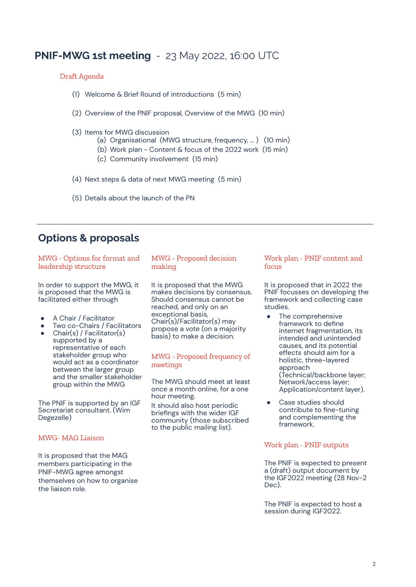## **PNIF-MWG 1st meeting** - 23 May 2022, 16:00 UTC

#### Draft Agenda

- (1) Welcome & Brief Round of introductions (5 min)
- (2) Overview of the PNIF proposal, Overview of the MWG (10 min)
- (3) Items for MWG discussion
	- (a) Organisational (MWG structure, frequency, … ) (10 min)
	- (b) Work plan Content & focus of the 2022 work (15 min)
	- (c) Community involvement (15 min)
- (4) Next steps & data of next MWG meeting (5 min)
- (5) Details about the launch of the PN

## **Options & proposals**

| MWG - Options for format and<br>leadership structure                                                                                                                                                                                                                     | MWG - Proposed decision<br>making                                                                                                                    | Work pl<br>focus                            |
|--------------------------------------------------------------------------------------------------------------------------------------------------------------------------------------------------------------------------------------------------------------------------|------------------------------------------------------------------------------------------------------------------------------------------------------|---------------------------------------------|
| In order to support the MWG, it<br>is proposed that the MWG is<br>facilitated either through                                                                                                                                                                             | It is proposed that the MWG<br>makes decisions by consensus.<br>Should consensus cannot be<br>reached, and only on an                                | It is pro<br>PNIF foc<br>framew<br>studies. |
| A Chair / Facilitator<br>Two co-Chairs / Facilitators<br>Chair(s) / Facilitator(s)<br>supported by a<br>representative of each<br>stakeholder group who<br>would act as a coordinator<br>between the larger group<br>and the smaller stakeholder<br>group within the MWG | exceptional basis,<br>Chair(s)/Facilitator(s) may<br>propose a vote (on a majority<br>basis) to make a decision.                                     | The<br>frar<br>inte<br>inte<br>cau          |
|                                                                                                                                                                                                                                                                          | MWG - Proposed frequency of<br>meetings                                                                                                              | effe<br>hol<br>apr<br>(Te                   |
|                                                                                                                                                                                                                                                                          | The MWG should meet at least<br>once a month online, for a one<br>hour meeting.                                                                      | Net<br>Apj                                  |
| The PNIF is supported by an IGF<br>Secretariat consultant. (Wim<br>Degezelle)                                                                                                                                                                                            | It should also host periodic<br>briefings with the wider IGF<br>community (those subscribed<br>a de la la casa de la latina de la 1850 de la 1854. V | Ca:<br>cor<br>and<br>frar                   |

#### MWG- MAG Liaison

It is proposed that the MAG members participating in the PNIF-MWG agree amongst themselves on how to organise the liaison role.

to the public mailing list).

## lan - PNIF content and

posed that in 2022 the cusses on developing the ork and collecting case studies.

- e comprehensive mework to define ernet fragmentation, its ended and unintended uses, and its potential ects should aim for a listic, three-layered proach  $\overline{\text{echnical/backbone}}$  layer; twork/access layer; plication/content layer).
- se studies should ntribute to fine-tuning d complementing the mework.

### Work plan - PNIF outputs

The PNIF is expected to present a (draft) output document by the IGF2022 meeting (28 Nov-2 Dec).

The PNIF is expected to host a session during IGF2022.